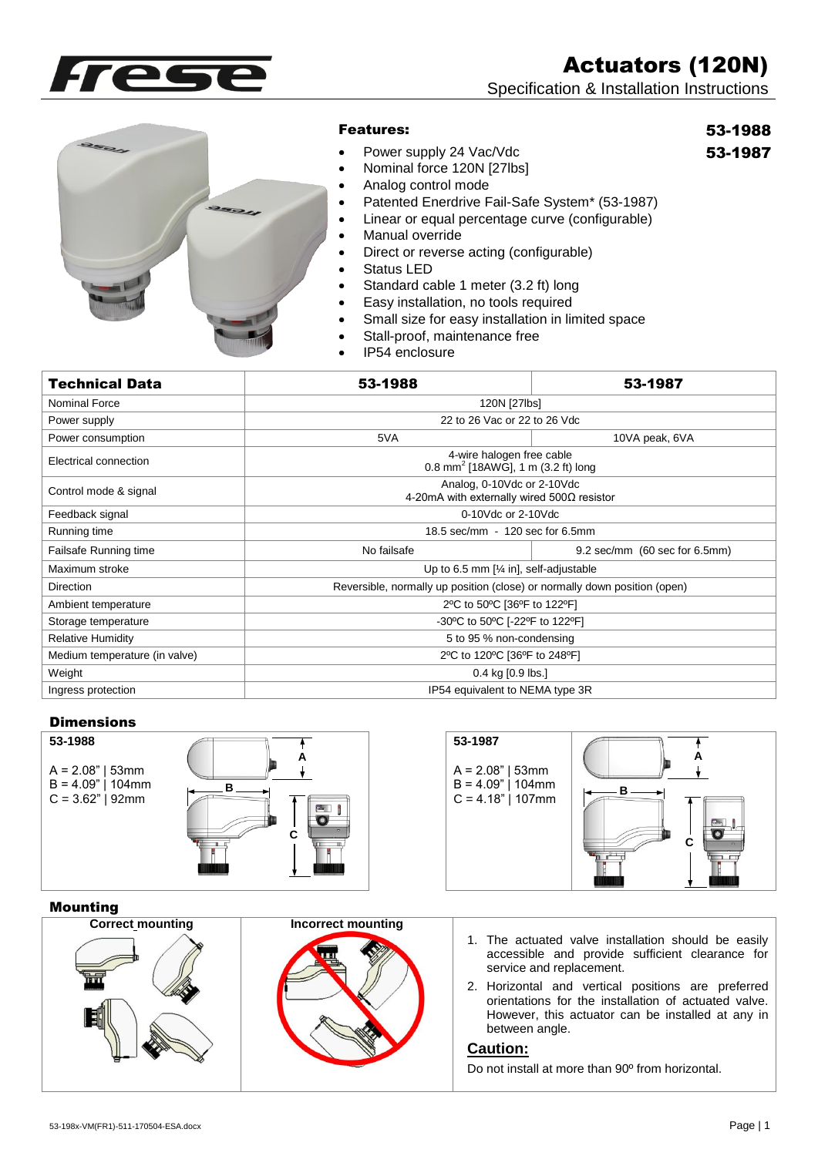Actuators (120N)

Specification & Installation Instructions





## Features:

• Power supply 24 Vac/Vdc

# 53-1988

53-1987

- Nominal force 120N [27lbs]
- Analog control mode
- Patented Enerdrive Fail-Safe System\* (53-1987)
- Linear or equal percentage curve (configurable)
- Manual override
- Direct or reverse acting (configurable)
- Status LED
- Standard cable 1 meter (3.2 ft) long
- **Easy installation, no tools required**
- Small size for easy installation in limited space
- Stall-proof, maintenance free
- IP54 enclosure

| <b>Technical Data</b>         | 53-1988                                                                         | 53-1987                       |  |
|-------------------------------|---------------------------------------------------------------------------------|-------------------------------|--|
| Nominal Force                 | 120N [27lbs]                                                                    |                               |  |
| Power supply                  | 22 to 26 Vac or 22 to 26 Vdc                                                    |                               |  |
| Power consumption             | 5VA                                                                             | 10VA peak, 6VA                |  |
| Electrical connection         | 4-wire halogen free cable<br>0.8 mm <sup>2</sup> [18AWG], 1 m (3.2 ft) long     |                               |  |
| Control mode & signal         | Analog, 0-10Vdc or 2-10Vdc<br>4-20mA with externally wired $500\Omega$ resistor |                               |  |
| Feedback signal               | 0-10Vdc or 2-10Vdc                                                              |                               |  |
| Running time                  | 18.5 sec/mm - 120 sec for 6.5mm                                                 |                               |  |
| Failsafe Running time         | No failsafe                                                                     | 9.2 sec/mm (60 sec for 6.5mm) |  |
| Maximum stroke                | Up to 6.5 mm $[\frac{1}{4} in]$ , self-adjustable                               |                               |  |
| <b>Direction</b>              | Reversible, normally up position (close) or normally down position (open)       |                               |  |
| Ambient temperature           | 2°C to 50°C [36°F to 122°F]                                                     |                               |  |
| Storage temperature           | -30°C to 50°C [-22°F to 122°F]                                                  |                               |  |
| <b>Relative Humidity</b>      | 5 to 95 % non-condensing                                                        |                               |  |
| Medium temperature (in valve) | 2°C to 120°C [36°F to 248°F]                                                    |                               |  |
| Weight                        | $0.4$ kg $[0.9$ lbs.]                                                           |                               |  |
| Ingress protection            | IP54 equivalent to NEMA type 3R                                                 |                               |  |

## **Dimensions**



#### Mounting

| $A = 2.08"$   53mm<br>$B = 4.09"   104mm$<br>$C = 3.62"$   92mm | $B$ $\qquad$<br>$\frac{1}{2}$ | $A = 2.08"$   53mm<br>$B = 4.09"   104mm$<br>$C = 4.18"   107mm$ |                                                                                                                                                                 |
|-----------------------------------------------------------------|-------------------------------|------------------------------------------------------------------|-----------------------------------------------------------------------------------------------------------------------------------------------------------------|
| <b>Mounting</b>                                                 |                               |                                                                  |                                                                                                                                                                 |
| <b>Correct mounting</b>                                         | <b>Incorrect mounting</b>     |                                                                  | 1. The actuated valve installation should be easily                                                                                                             |
|                                                                 |                               | service and replacement.                                         | accessible and provide sufficient clearance for                                                                                                                 |
|                                                                 |                               | between angle.                                                   | 2. Horizontal and vertical positions are preferred<br>orientations for the installation of actuated valve.<br>However, this actuator can be installed at any in |
|                                                                 |                               | <b>Caution:</b>                                                  |                                                                                                                                                                 |
|                                                                 |                               |                                                                  | Do not install at more than 90° from horizontal.                                                                                                                |